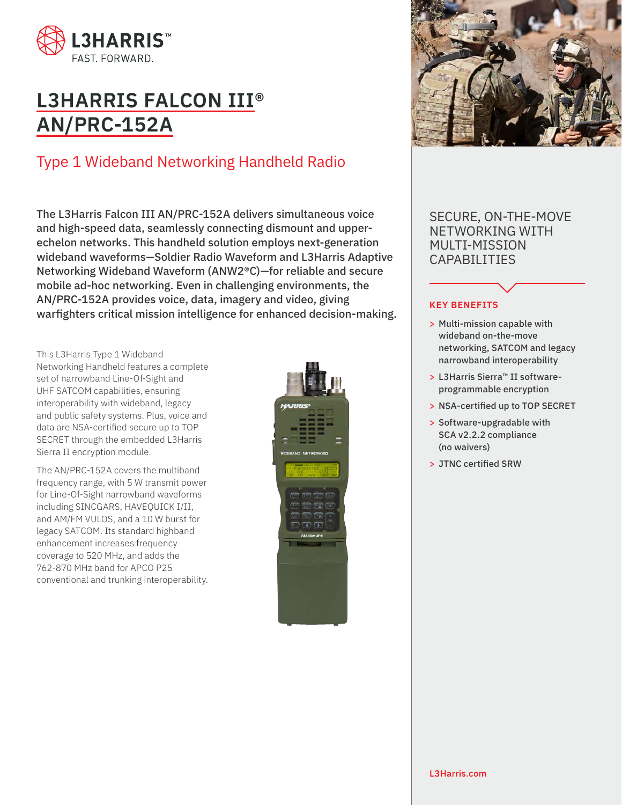

# **L3HARRIS FALCON III® AN/PRC-152A**

## Type 1 Wideband Networking Handheld Radio

The L3Harris Falcon III AN/PRC-152A delivers simultaneous voice and high-speed data, seamlessly connecting dismount and upperechelon networks. This handheld solution employs next-generation wideband waveforms—Soldier Radio Waveform and L3Harris Adaptive Networking Wideband Waveform (ANW2®C)—for reliable and secure mobile ad-hoc networking. Even in challenging environments, the AN/PRC-152A provides voice, data, imagery and video, giving warfighters critical mission intelligence for enhanced decision-making.

This L3Harris Type 1 Wideband Networking Handheld features a complete set of narrowband Line-Of-Sight and UHF SATCOM capabilities, ensuring interoperability with wideband, legacy and public safety systems. Plus, voice and data are NSA-certified secure up to TOP SECRET through the embedded L3Harris Sierra II encryption module.

The AN/PRC-152A covers the multiband frequency range, with 5 W transmit power for Line-Of-Sight narrowband waveforms including SINCGARS, HAVEQUICK I/II, and AM/FM VULOS, and a 10 W burst for legacy SATCOM. Its standard highband enhancement increases frequency coverage to 520 MHz, and adds the 762-870 MHz band for APCO P25 conventional and trunking interoperability.





SECURE, ON-THE-MOVE NETWORKING WITH MULTI-MISSION CAPABILITIES

## **KEY BENEFITS**

- > Multi-mission capable with wideband on-the-move networking, SATCOM and legacy narrowband interoperability
- > L3Harris Sierra™ II softwareprogrammable encryption
- > NSA-certified up to TOP SECRET
- > Software-upgradable with SCA v2.2.2 compliance (no waivers)
- > JTNC certified SRW